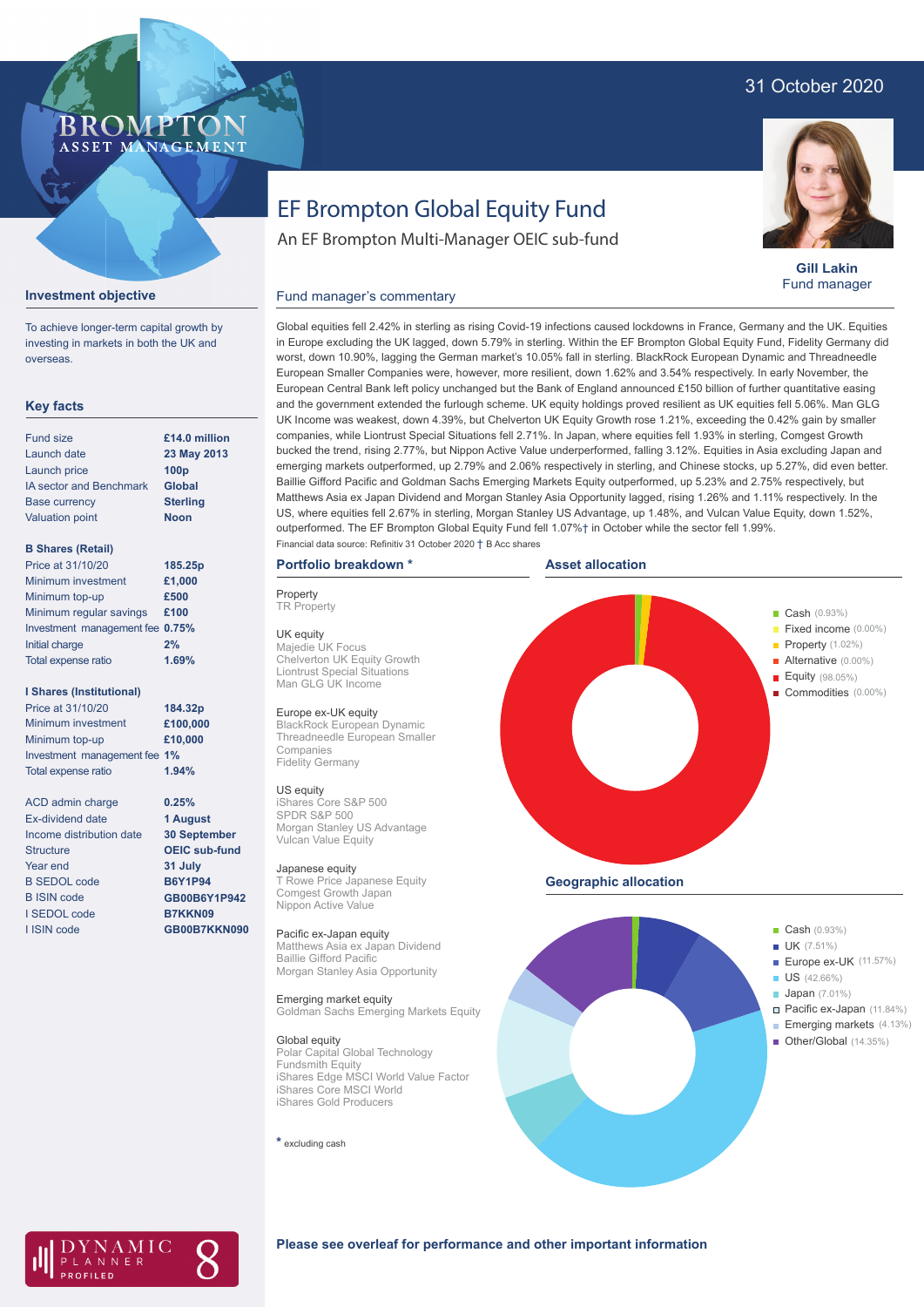# 31 October 2020

## **BROMP** ASSET MANAGEMENT

**Investment objective**

IA sector and Benchmark

overseas.

**Key facts** Fund size Launch date Launch price

Base currency Valuation point

**B Shares (Retail)**

Price at 31/10/20

Initial charge Total expense ratio

Minimum investment Minimum top-up

**I Shares (Institutional)**

To achieve longer-term capital growth by investing in markets in both the UK and

**Gill Lakin** Fund manager

# EF Brompton Global Equity Fund

An EF Brompton Multi-Manager OEIC sub-fund

### Fund manager's commentary



### Global equities fell 2.42% in sterling as rising Covid-19 infections caused lockdowns in France, Germany and the UK. Equities in Europe excluding the UK lagged, down 5.79% in sterling. Within the EF Brompton Global Equity Fund, Fidelity Germany did worst, down 10.90%, lagging the German market's 10.05% fall in sterling. BlackRock European Dynamic and Threadneedle European Smaller Companies were, however, more resilient, down 1.62% and 3.54% respectively. In early November, the European Central Bank left policy unchanged but the Bank of England announced £150 billion of further quantitative easing and the government extended the furlough scheme. UK equity holdings proved resilient as UK equities fell 5.06%. Man GLG UK Income was weakest, down 4.39%, but Chelverton UK Equity Growth rose 1.21%, exceeding the 0.42% gain by smaller companies, while Liontrust Special Situations fell 2.71%. In Japan, where equities fell 1.93% in sterling, Comgest Growth bucked the trend, rising 2.77%, but Nippon Active Value underperformed, falling 3.12%. Equities in Asia excluding Japan and emerging markets outperformed, up 2.79% and 2.06% respectively in sterling, and Chinese stocks, up 5.27%, did even better. Baillie Gifford Pacific and Goldman Sachs Emerging Markets Equity outperformed, up 5.23% and 2.75% respectively, but Matthews Asia ex Japan Dividend and Morgan Stanley Asia Opportunity lagged, rising 1.26% and 1.11% respectively. In the US, where equities fell 2.67% in sterling, Morgan Stanley US Advantage, up 1.48%, and Vulcan Value Equity, down 1.52%, outperformed. The EF Brompton Global Equity Fund fell 1.07%† in October while the sector fell 1.99%. Financial data source: Refinitiv 31 October 2020 † B Acc shares

### **Portfolio breakdown \***

**Property TR Property** 

UK equity Majedie UK Focus Chelverton UK Equity Growth Liontrust Special Situations Man GLG UK Income

### Europe ex-UK equity

BlackRock European Dynamic Threadneedle European Smaller Companies Fidelity Germany

# US equity iShares Core S&P 500

SPDR S&P 500 Morgan Stanley US Advantage Vulcan Value Equity

#### Japanese equity T Rowe Price Japanese Equity

Comgest Growth Japan Nippon Active Value

### Pacific ex-Japan equity

Matthews Asia ex Japan Dividend Baillie Gifford Pacific Morgan Stanley Asia Opportunity

#### Emerging market equity Goldman Sachs Emerging Markets Equity

Global equity

Polar Capital Global Technology Fundsmith Equity iShares Edge MSCI World Value Factor iShares Core MSCI World iShares Gold Producers

**\*** excluding cash





# AMIC ANNER

### **Please see overleaf for performance and other important information**

# Minimum regular savings **£100** Investment management fee **0.75% 2% 184.32p 1.69%**

**23 May 2013 100p Global Sterling Noon**

**£14.0 million**

**£1,000 £500**

**185.25p**

Minimum investment Minimum top-up Investment management fee **1%** Total expense ratio **£100,000 £10,000** Price at 31/10/20 **1.94%**

ACD admin charge Ex-dividend date Income distribution date Structure Year end B SEDOL code B ISIN code I SEDOL code I ISIN code

**0.25% 1 August 30 September OEIC sub-fund 31 July B6Y1P94 GB00B6Y1P942 B7KKN09 GB00B7KKN090**